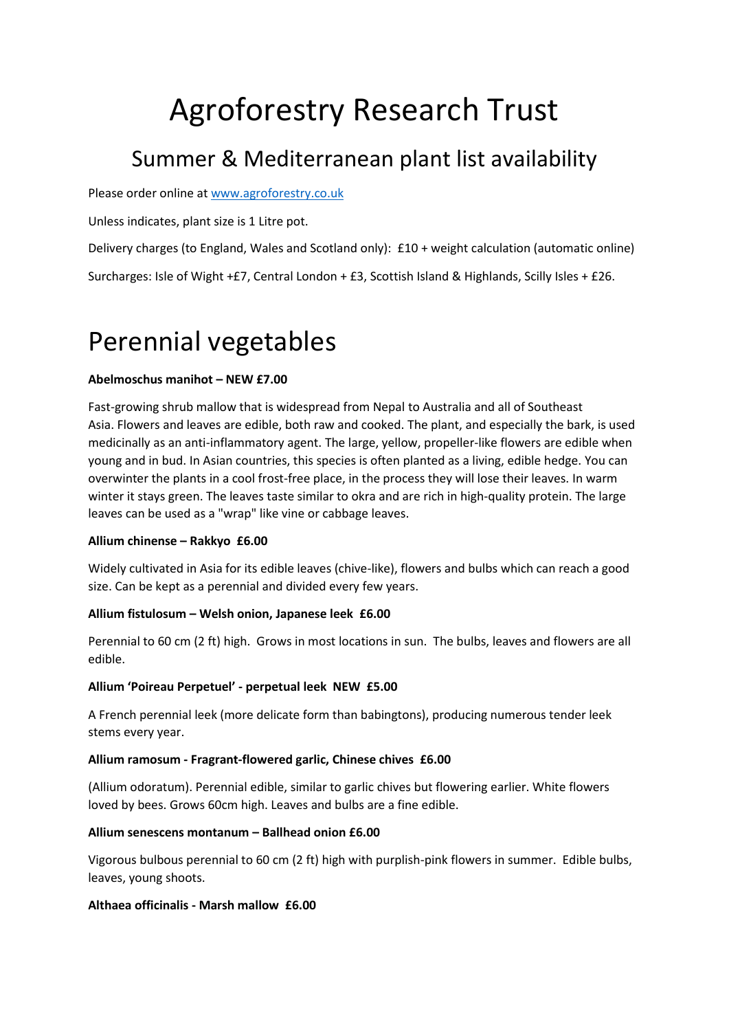# Agroforestry Research Trust

# Summer & Mediterranean plant list availability

Please order online at [www.agroforestry.co.uk](http://www.agroforestry.co.uk/)

Unless indicates, plant size is 1 Litre pot.

Delivery charges (to England, Wales and Scotland only): £10 + weight calculation (automatic online)

Surcharges: Isle of Wight +£7, Central London + £3, Scottish Island & Highlands, Scilly Isles + £26.

# Perennial vegetables

# **Abelmoschus manihot – NEW £7.00**

Fast-growing shrub mallow that is widespread from Nepal to Australia and all of Southeast Asia. Flowers and leaves are edible, both raw and cooked. The plant, and especially the bark, is used medicinally as an anti-inflammatory agent. The large, yellow, propeller-like flowers are edible when young and in bud. In Asian countries, this species is often planted as a living, edible hedge. You can overwinter the plants in a cool frost-free place, in the process they will lose their leaves. In warm winter it stays green. The leaves taste similar to okra and are rich in high-quality protein. The large leaves can be used as a "wrap" like vine or cabbage leaves.

# **Allium chinense – Rakkyo £6.00**

Widely cultivated in Asia for its edible leaves (chive-like), flowers and bulbs which can reach a good size. Can be kept as a perennial and divided every few years.

# **Allium fistulosum – Welsh onion, Japanese leek £6.00**

Perennial to 60 cm (2 ft) high. Grows in most locations in sun. The bulbs, leaves and flowers are all edible.

# **Allium 'Poireau Perpetuel' - perpetual leek NEW £5.00**

A French perennial leek (more delicate form than babingtons), producing numerous tender leek stems every year.

# **Allium ramosum - Fragrant-flowered garlic, Chinese chives £6.00**

(Allium odoratum). Perennial edible, similar to garlic chives but flowering earlier. White flowers loved by bees. Grows 60cm high. Leaves and bulbs are a fine edible.

# **Allium senescens montanum – Ballhead onion £6.00**

Vigorous bulbous perennial to 60 cm (2 ft) high with purplish-pink flowers in summer. Edible bulbs, leaves, young shoots.

# **Althaea officinalis - Marsh mallow £6.00**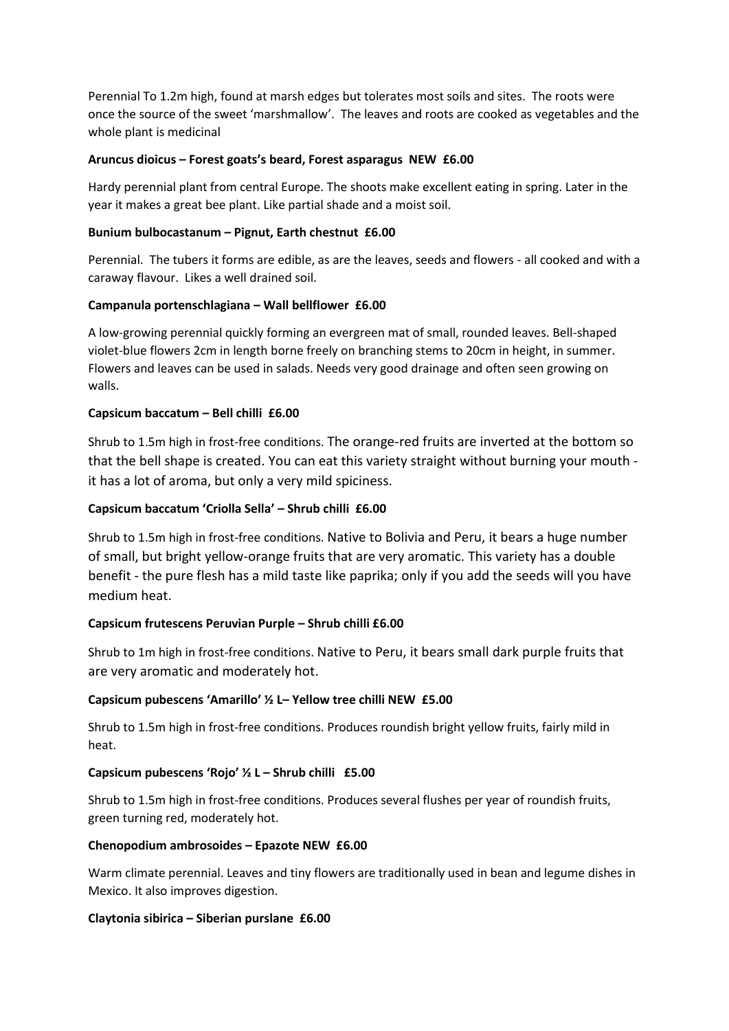Perennial To 1.2m high, found at marsh edges but tolerates most soils and sites. The roots were once the source of the sweet 'marshmallow'. The leaves and roots are cooked as vegetables and the whole plant is medicinal

# **Aruncus dioicus – Forest goats's beard, Forest asparagus NEW £6.00**

Hardy perennial plant from central Europe. The shoots make excellent eating in spring. Later in the year it makes a great bee plant. Like partial shade and a moist soil.

# **Bunium bulbocastanum – Pignut, Earth chestnut £6.00**

Perennial. The tubers it forms are edible, as are the leaves, seeds and flowers - all cooked and with a caraway flavour. Likes a well drained soil.

# **Campanula portenschlagiana – Wall bellflower £6.00**

A low-growing perennial quickly forming an evergreen mat of small, rounded leaves. Bell-shaped violet-blue flowers 2cm in length borne freely on branching stems to 20cm in height, in summer. Flowers and leaves can be used in salads. Needs very good drainage and often seen growing on walls.

# **Capsicum baccatum – Bell chilli £6.00**

Shrub to 1.5m high in frost-free conditions. The orange-red fruits are inverted at the bottom so that the bell shape is created. You can eat this variety straight without burning your mouth it has a lot of aroma, but only a very mild spiciness.

# **Capsicum baccatum 'Criolla Sella' – Shrub chilli £6.00**

Shrub to 1.5m high in frost-free conditions. Native to Bolivia and Peru, it bears a huge number of small, but bright yellow-orange fruits that are very aromatic. This variety has a double benefit - the pure flesh has a mild taste like paprika; only if you add the seeds will you have medium heat.

# **Capsicum frutescens Peruvian Purple – Shrub chilli £6.00**

Shrub to 1m high in frost-free conditions. Native to Peru, it bears small dark purple fruits that are very aromatic and moderately hot.

# **Capsicum pubescens 'Amarillo' ½ L– Yellow tree chilli NEW £5.00**

Shrub to 1.5m high in frost-free conditions. Produces roundish bright yellow fruits, fairly mild in heat.

# **Capsicum pubescens 'Rojo' ½ L – Shrub chilli £5.00**

Shrub to 1.5m high in frost-free conditions. Produces several flushes per year of roundish fruits, green turning red, moderately hot.

# **Chenopodium ambrosoides – Epazote NEW £6.00**

Warm climate perennial. Leaves and tiny flowers are traditionally used in bean and legume dishes in Mexico. It also improves digestion.

# **Claytonia sibirica – Siberian purslane £6.00**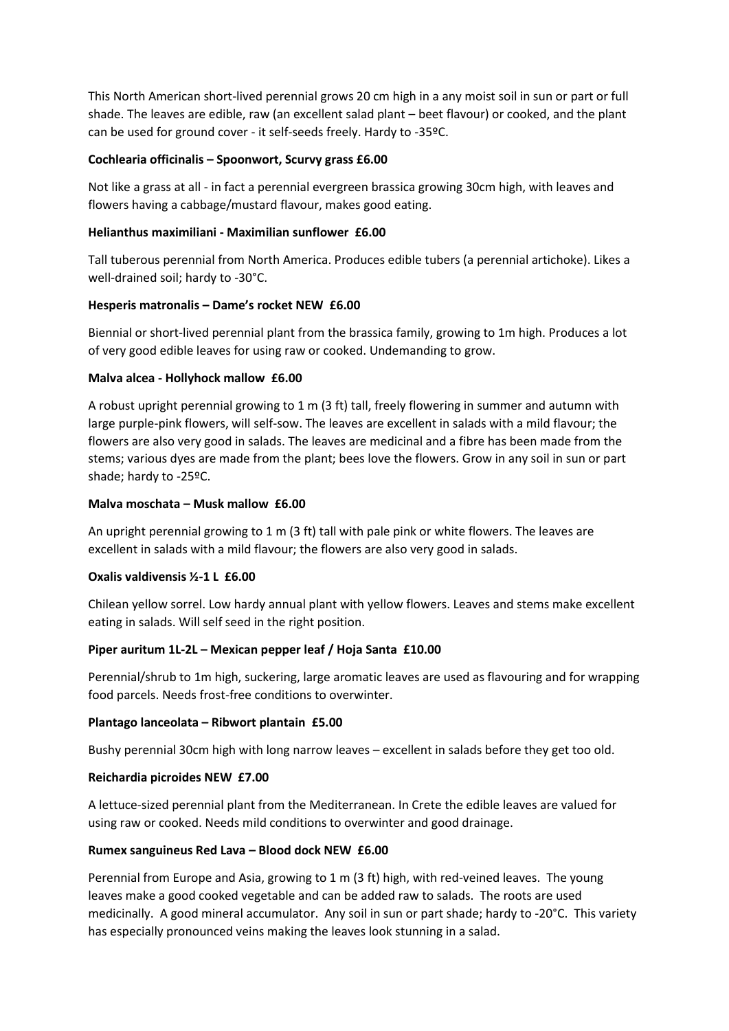This North American short-lived perennial grows 20 cm high in a any moist soil in sun or part or full shade. The leaves are edible, raw (an excellent salad plant – beet flavour) or cooked, and the plant can be used for ground cover - it self-seeds freely. Hardy to -35ºC.

# **Cochlearia officinalis – Spoonwort, Scurvy grass £6.00**

Not like a grass at all - in fact a perennial evergreen brassica growing 30cm high, with leaves and flowers having a cabbage/mustard flavour, makes good eating.

# **Helianthus maximiliani - Maximilian sunflower £6.00**

Tall tuberous perennial from North America. Produces edible tubers (a perennial artichoke). Likes a well-drained soil; hardy to -30°C.

# **Hesperis matronalis – Dame's rocket NEW £6.00**

Biennial or short-lived perennial plant from the brassica family, growing to 1m high. Produces a lot of very good edible leaves for using raw or cooked. Undemanding to grow.

# **Malva alcea - Hollyhock mallow £6.00**

A robust upright perennial growing to 1 m (3 ft) tall, freely flowering in summer and autumn with large purple-pink flowers, will self-sow. The leaves are excellent in salads with a mild flavour; the flowers are also very good in salads. The leaves are medicinal and a fibre has been made from the stems; various dyes are made from the plant; bees love the flowers. Grow in any soil in sun or part shade; hardy to -25ºC.

# **Malva moschata – Musk mallow £6.00**

An upright perennial growing to 1 m (3 ft) tall with pale pink or white flowers. The leaves are excellent in salads with a mild flavour; the flowers are also very good in salads.

# **Oxalis valdivensis ½-1 L £6.00**

Chilean yellow sorrel. Low hardy annual plant with yellow flowers. Leaves and stems make excellent eating in salads. Will self seed in the right position.

# **Piper auritum 1L-2L – Mexican pepper leaf / Hoja Santa £10.00**

Perennial/shrub to 1m high, suckering, large aromatic leaves are used as flavouring and for wrapping food parcels. Needs frost-free conditions to overwinter.

# **Plantago lanceolata – Ribwort plantain £5.00**

Bushy perennial 30cm high with long narrow leaves – excellent in salads before they get too old.

# **Reichardia picroides NEW £7.00**

A lettuce-sized perennial plant from the Mediterranean. In Crete the edible leaves are valued for using raw or cooked. Needs mild conditions to overwinter and good drainage.

# **Rumex sanguineus Red Lava – Blood dock NEW £6.00**

Perennial from Europe and Asia, growing to 1 m (3 ft) high, with red-veined leaves. The young leaves make a good cooked vegetable and can be added raw to salads. The roots are used medicinally. A good mineral accumulator. Any soil in sun or part shade; hardy to -20°C. This variety has especially pronounced veins making the leaves look stunning in a salad.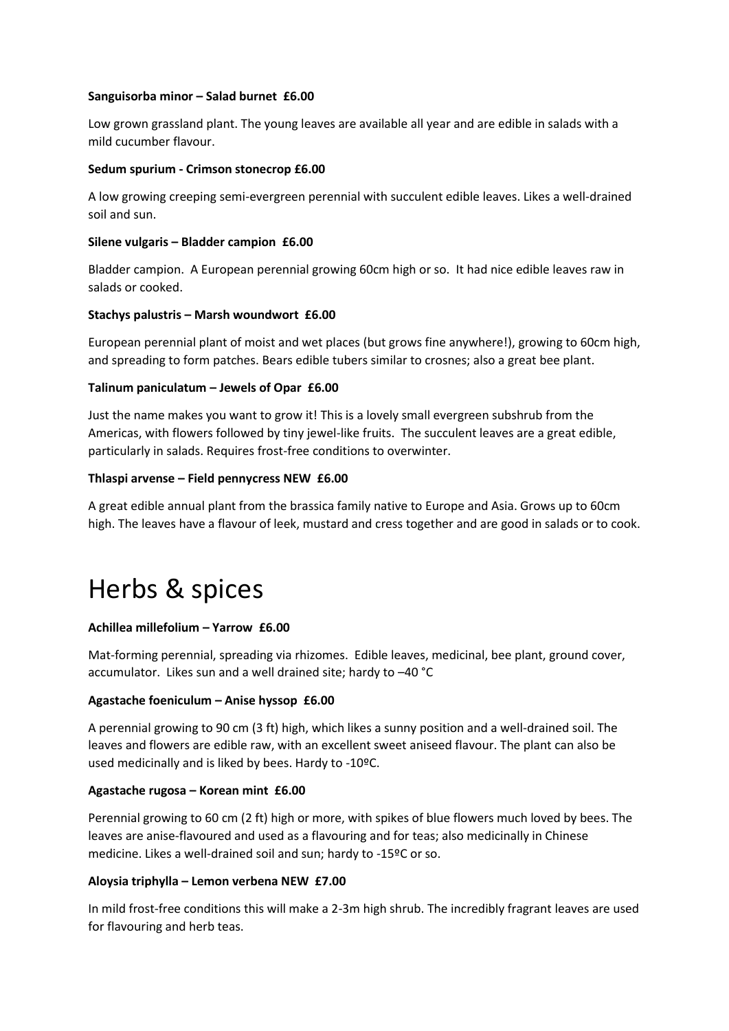#### **Sanguisorba minor – Salad burnet £6.00**

Low grown grassland plant. The young leaves are available all year and are edible in salads with a mild cucumber flavour.

#### **Sedum spurium - Crimson stonecrop £6.00**

A low growing creeping semi-evergreen perennial with succulent edible leaves. Likes a well-drained soil and sun.

#### **Silene vulgaris – Bladder campion £6.00**

Bladder campion. A European perennial growing 60cm high or so. It had nice edible leaves raw in salads or cooked.

#### **Stachys palustris – Marsh woundwort £6.00**

European perennial plant of moist and wet places (but grows fine anywhere!), growing to 60cm high, and spreading to form patches. Bears edible tubers similar to crosnes; also a great bee plant.

#### **Talinum paniculatum – Jewels of Opar £6.00**

Just the name makes you want to grow it! This is a lovely small evergreen subshrub from the Americas, with flowers followed by tiny jewel-like fruits. The succulent leaves are a great edible, particularly in salads. Requires frost-free conditions to overwinter.

#### **Thlaspi arvense – Field pennycress NEW £6.00**

A great edible annual plant from the brassica family native to Europe and Asia. Grows up to 60cm high. The leaves have a flavour of leek, mustard and cress together and are good in salads or to cook.

# Herbs & spices

# **Achillea millefolium – Yarrow £6.00**

Mat-forming perennial, spreading via rhizomes. Edible leaves, medicinal, bee plant, ground cover, accumulator. Likes sun and a well drained site; hardy to –40 °C

# **Agastache foeniculum – Anise hyssop £6.00**

A perennial growing to 90 cm (3 ft) high, which likes a sunny position and a well-drained soil. The leaves and flowers are edible raw, with an excellent sweet aniseed flavour. The plant can also be used medicinally and is liked by bees. Hardy to -10ºC.

# **Agastache rugosa – Korean mint £6.00**

Perennial growing to 60 cm (2 ft) high or more, with spikes of blue flowers much loved by bees. The leaves are anise-flavoured and used as a flavouring and for teas; also medicinally in Chinese medicine. Likes a well-drained soil and sun; hardy to -15ºC or so.

# **Aloysia triphylla – Lemon verbena NEW £7.00**

In mild frost-free conditions this will make a 2-3m high shrub. The incredibly fragrant leaves are used for flavouring and herb teas.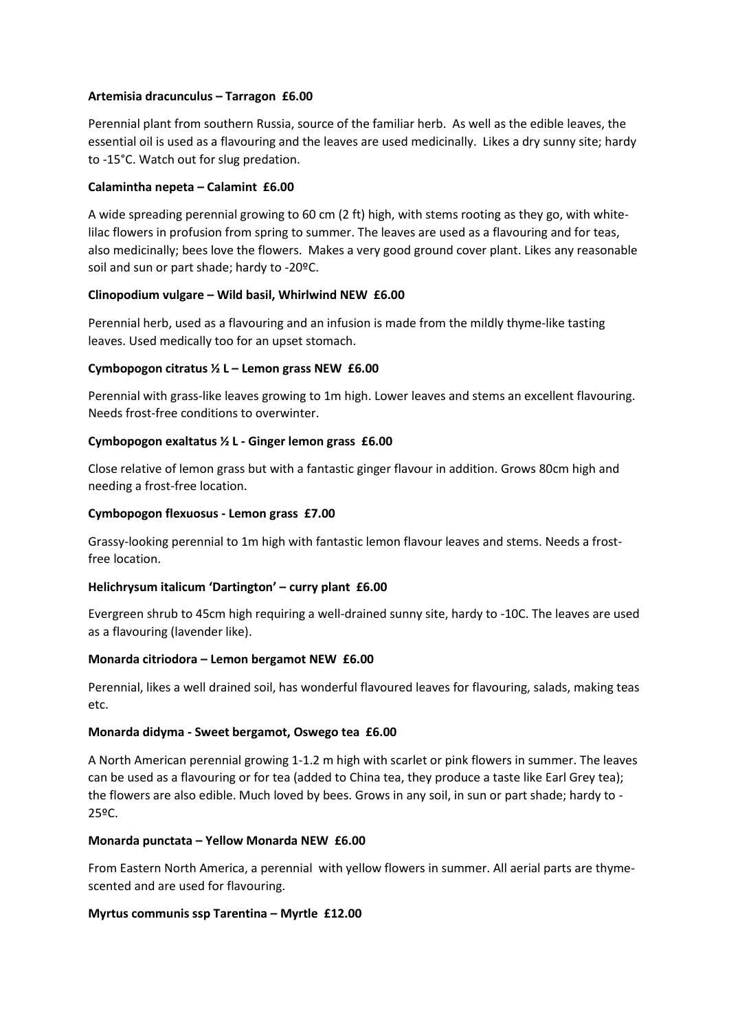# **Artemisia dracunculus – Tarragon £6.00**

Perennial plant from southern Russia, source of the familiar herb. As well as the edible leaves, the essential oil is used as a flavouring and the leaves are used medicinally. Likes a dry sunny site; hardy to -15°C. Watch out for slug predation.

#### **Calamintha nepeta – Calamint £6.00**

A wide spreading perennial growing to 60 cm (2 ft) high, with stems rooting as they go, with whitelilac flowers in profusion from spring to summer. The leaves are used as a flavouring and for teas, also medicinally; bees love the flowers. Makes a very good ground cover plant. Likes any reasonable soil and sun or part shade; hardy to -20ºC.

#### **Clinopodium vulgare – Wild basil, Whirlwind NEW £6.00**

Perennial herb, used as a flavouring and an infusion is made from the mildly thyme-like tasting leaves. Used medically too for an upset stomach.

# **Cymbopogon citratus ½ L – Lemon grass NEW £6.00**

Perennial with grass-like leaves growing to 1m high. Lower leaves and stems an excellent flavouring. Needs frost-free conditions to overwinter.

#### **Cymbopogon exaltatus ½ L - Ginger lemon grass £6.00**

Close relative of lemon grass but with a fantastic ginger flavour in addition. Grows 80cm high and needing a frost-free location.

#### **Cymbopogon flexuosus - Lemon grass £7.00**

Grassy-looking perennial to 1m high with fantastic lemon flavour leaves and stems. Needs a frostfree location.

# **Helichrysum italicum 'Dartington' – curry plant £6.00**

Evergreen shrub to 45cm high requiring a well-drained sunny site, hardy to -10C. The leaves are used as a flavouring (lavender like).

#### **Monarda citriodora – Lemon bergamot NEW £6.00**

Perennial, likes a well drained soil, has wonderful flavoured leaves for flavouring, salads, making teas etc.

#### **Monarda didyma - Sweet bergamot, Oswego tea £6.00**

A North American perennial growing 1-1.2 m high with scarlet or pink flowers in summer. The leaves can be used as a flavouring or for tea (added to China tea, they produce a taste like Earl Grey tea); the flowers are also edible. Much loved by bees. Grows in any soil, in sun or part shade; hardy to - 25ºC.

#### **Monarda punctata – Yellow Monarda NEW £6.00**

From Eastern North America, a perennial with yellow flowers in summer. All aerial parts are thymescented and are used for flavouring.

#### **Myrtus communis ssp Tarentina – Myrtle £12.00**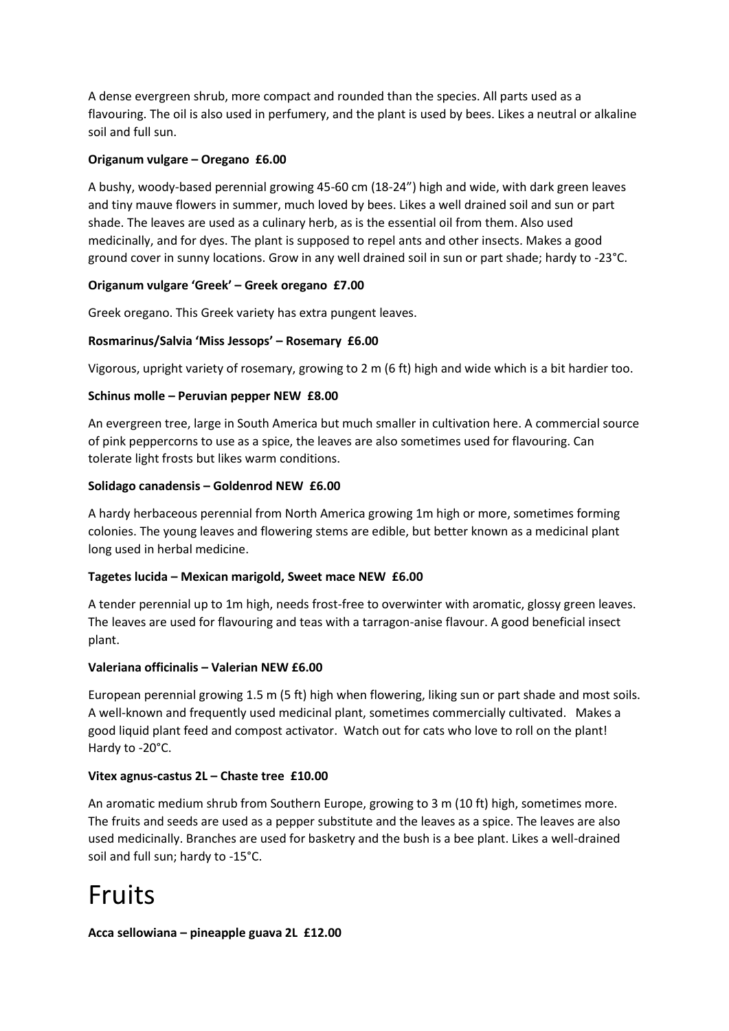A dense evergreen shrub, more compact and rounded than the species. All parts used as a flavouring. The oil is also used in perfumery, and the plant is used by bees. Likes a neutral or alkaline soil and full sun.

# **Origanum vulgare – Oregano £6.00**

A bushy, woody-based perennial growing 45-60 cm (18-24") high and wide, with dark green leaves and tiny mauve flowers in summer, much loved by bees. Likes a well drained soil and sun or part shade. The leaves are used as a culinary herb, as is the essential oil from them. Also used medicinally, and for dyes. The plant is supposed to repel ants and other insects. Makes a good ground cover in sunny locations. Grow in any well drained soil in sun or part shade; hardy to -23°C.

# **Origanum vulgare 'Greek' – Greek oregano £7.00**

Greek oregano. This Greek variety has extra pungent leaves.

# **Rosmarinus/Salvia 'Miss Jessops' – Rosemary £6.00**

Vigorous, upright variety of rosemary, growing to 2 m (6 ft) high and wide which is a bit hardier too.

# **Schinus molle – Peruvian pepper NEW £8.00**

An evergreen tree, large in South America but much smaller in cultivation here. A commercial source of pink peppercorns to use as a spice, the leaves are also sometimes used for flavouring. Can tolerate light frosts but likes warm conditions.

# **Solidago canadensis – Goldenrod NEW £6.00**

A hardy herbaceous perennial from North America growing 1m high or more, sometimes forming colonies. The young leaves and flowering stems are edible, but better known as a medicinal plant long used in herbal medicine.

# **Tagetes lucida – Mexican marigold, Sweet mace NEW £6.00**

A tender perennial up to 1m high, needs frost-free to overwinter with aromatic, glossy green leaves. The leaves are used for flavouring and teas with a tarragon-anise flavour. A good beneficial insect plant.

# **Valeriana officinalis – Valerian NEW £6.00**

European perennial growing 1.5 m (5 ft) high when flowering, liking sun or part shade and most soils. A well-known and frequently used medicinal plant, sometimes commercially cultivated. Makes a good liquid plant feed and compost activator. Watch out for cats who love to roll on the plant! Hardy to -20°C.

# **Vitex agnus-castus 2L – Chaste tree £10.00**

An aromatic medium shrub from Southern Europe, growing to 3 m (10 ft) high, sometimes more. The fruits and seeds are used as a pepper substitute and the leaves as a spice. The leaves are also used medicinally. Branches are used for basketry and the bush is a bee plant. Likes a well-drained soil and full sun; hardy to -15°C.

# Fruits

# **Acca sellowiana – pineapple guava 2L £12.00**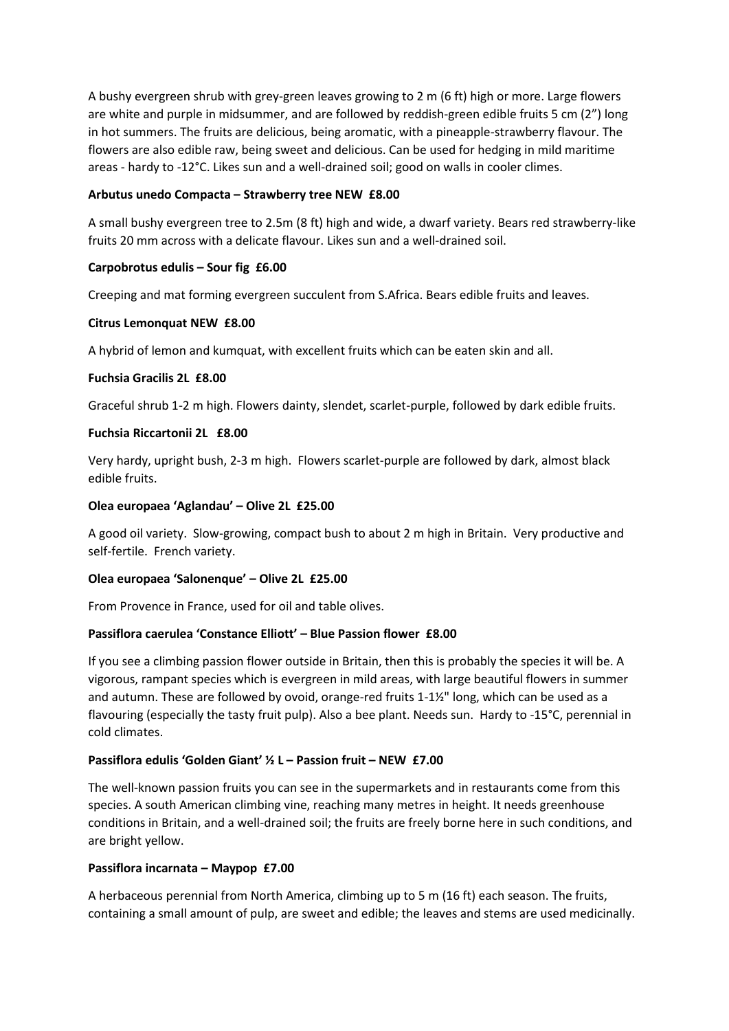A bushy evergreen shrub with grey-green leaves growing to 2 m (6 ft) high or more. Large flowers are white and purple in midsummer, and are followed by reddish-green edible fruits 5 cm (2") long in hot summers. The fruits are delicious, being aromatic, with a pineapple-strawberry flavour. The flowers are also edible raw, being sweet and delicious. Can be used for hedging in mild maritime areas - hardy to -12°C. Likes sun and a well-drained soil; good on walls in cooler climes.

#### **Arbutus unedo Compacta – Strawberry tree NEW £8.00**

A small bushy evergreen tree to 2.5m (8 ft) high and wide, a dwarf variety. Bears red strawberry-like fruits 20 mm across with a delicate flavour. Likes sun and a well-drained soil.

# **Carpobrotus edulis – Sour fig £6.00**

Creeping and mat forming evergreen succulent from S.Africa. Bears edible fruits and leaves.

#### **Citrus Lemonquat NEW £8.00**

A hybrid of lemon and kumquat, with excellent fruits which can be eaten skin and all.

#### **Fuchsia Gracilis 2L £8.00**

Graceful shrub 1-2 m high. Flowers dainty, slendet, scarlet-purple, followed by dark edible fruits.

#### **Fuchsia Riccartonii 2L £8.00**

Very hardy, upright bush, 2-3 m high. Flowers scarlet-purple are followed by dark, almost black edible fruits.

#### **Olea europaea 'Aglandau' – Olive 2L £25.00**

A good oil variety. Slow-growing, compact bush to about 2 m high in Britain. Very productive and self-fertile. French variety.

# **Olea europaea 'Salonenque' – Olive 2L £25.00**

From Provence in France, used for oil and table olives.

# **Passiflora caerulea 'Constance Elliott' – Blue Passion flower £8.00**

If you see a climbing passion flower outside in Britain, then this is probably the species it will be. A vigorous, rampant species which is evergreen in mild areas, with large beautiful flowers in summer and autumn. These are followed by ovoid, orange-red fruits 1-1½" long, which can be used as a flavouring (especially the tasty fruit pulp). Also a bee plant. Needs sun. Hardy to -15°C, perennial in cold climates.

# **Passiflora edulis 'Golden Giant' ½ L – Passion fruit – NEW £7.00**

The well-known passion fruits you can see in the supermarkets and in restaurants come from this species. A south American climbing vine, reaching many metres in height. It needs greenhouse conditions in Britain, and a well-drained soil; the fruits are freely borne here in such conditions, and are bright yellow.

# **Passiflora incarnata – Maypop £7.00**

A herbaceous perennial from North America, climbing up to 5 m (16 ft) each season. The fruits, containing a small amount of pulp, are sweet and edible; the leaves and stems are used medicinally.